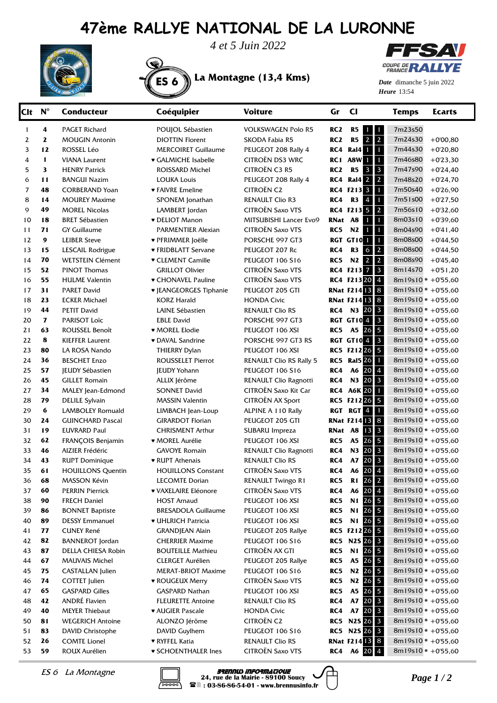## **47ème RALLYE NATIONAL DE LA LURONNE**



*4 et 5 Juin 2022*

ES 6 **La Montagne (13,4 Kms)**



**Heure** 13:54 *Date* dimanche 5 juin 2022

| Clt | $N^{\circ}$      | <b>Conducteur</b>        | Coéquipier                    | <b>Voiture</b>                 | Gr              | $_{\rm CI}$                                   | <b>Temps</b>          | <b>Ecarts</b> |
|-----|------------------|--------------------------|-------------------------------|--------------------------------|-----------------|-----------------------------------------------|-----------------------|---------------|
| 1   | 4                | <b>PAGET Richard</b>     | POUJOL Sébastien              | <b>VOLKSWAGEN Polo R5</b>      | RC <sub>2</sub> | R5<br>$\mathbf{1}$<br>$\mathbf{1}$            | 7m23s50               |               |
| 2   | 2                | <b>MOUGIN Antonin</b>    | <b>DIOTTIN Florent</b>        | SKODA Fabia R5                 | RC <sub>2</sub> | $\overline{2}$<br>R5<br>$\overline{2}$        | 7m24s30               | $+0'00,80$    |
| 3   | 12               | ROSSEL Léo               | <b>MERCOIRET Guillaume</b>    | PEUGEOT 208 Rally 4            | RC4             | <b>Ral4</b> 1<br>$\blacksquare$               | 7m44s30               | $+0'20,80$    |
| 4   | 1                | <b>VIANA Laurent</b>     | ♥ GALMICHE Isabelle           | <b>CITROËN DS3 WRC</b>         |                 | RC1 A8W 1<br>$\mathbf{1}$                     | 7m46s80               | $+0'23,30$    |
| 5   | 3                | <b>HENRY Patrick</b>     | ROISSARD Michel               | CITROËN C3 R5                  | RC <sub>2</sub> | $\mathbf{3}$<br><b>R5</b><br>$\mathbf{3}$     | 7m47s90               | $+0'24,40$    |
| 6   | 11               | <b>BANGUI Nazim</b>      | <b>LOUKA Louis</b>            | PEUGEOT 208 Rally 4            | RC4             | $\overline{2}$<br><b>Ral4</b> 2               | 7m48s20               | $+0'24,70$    |
| 7   | 48               | <b>CORBERAND Yoan</b>    | ♥ FAIVRE Emeline              | <b>CITROËN C2</b>              |                 | RC4 F213 3<br>$\mathbf{1}$                    | 7m50s40               | $+0'26,90$    |
| 8   | 14               | <b>MOUREY Maxime</b>     | SPONEM Jonathan               | <b>RENAULT Clio R3</b>         | RC4             | $\overline{4}$<br>R3<br>$\mathbf{1}$          | 7m51s00               | $+0'27,50$    |
| 9   | 49               | <b>MOREL Nicolas</b>     | LAMBERT Jordan                | <b>CITROËN Saxo VTS</b>        |                 | $\overline{2}$<br>RC4 F213 5                  | 7m56s10               | $+0'32,60$    |
| 10  | 18               | <b>BRET Sébastien</b>    | <b>v</b> DELIOT Manon         | MITSUBISHI Lancer Evo9         | RNat A8         | $\mathbf{1}$<br>$\mathbf{1}$                  | 8m03s10               | $+0'39,60$    |
| 11  | 71               | <b>GY Guillaume</b>      | PARMENTIER Alexian            | <b>CITROËN Saxo VTS</b>        | RC5             | $\mathbf{1}$<br>N2<br>$\mathbf{1}$            | 8m04s90               | $+0'41,40$    |
| 12  | $\boldsymbol{9}$ | <b>LEIBER Steve</b>      | ♥ PFRIMMER Joëlle             | PORSCHE 997 GT3                |                 | $\mathbf{1}$<br>RGT GT10 <sup>1</sup>         | 8m08s00               | $+0'44,50$    |
| 13  | 15               | LESCAIL Rodrigue         | ♥ FRIDBLATT Servane           | PEUGEOT 207 Rc                 | RC4             | $\overline{2}$<br>R3<br>$\mathsf{6}$          | 8m08s00               | $+0'44,50$    |
| 14  | 70               | <b>WETSTEIN Clément</b>  | <b>v</b> CLEMENT Camille      | PEUGEOT 106 S16                | RC5             | $\overline{2}$<br><b>N2</b><br>$\overline{2}$ | 8m08s90               | $+0'45,40$    |
| 15  | 52               | <b>PINOT Thomas</b>      | <b>GRILLOT Olivier</b>        | <b>CITROËN Saxo VTS</b>        |                 | $\overline{\mathbf{3}}$<br>RC4 F2137          | 8m14s70               | $+0.51,20$    |
| 16  | 55               | <b>HULME</b> Valentin    | ♥ CHONAVEL Pauline            | <b>CITROËN Saxo VTS</b>        |                 | $\overline{4}$<br>RC4 F21320                  | $8m19s10 * +0'55.60$  |               |
| 17  | 31               | <b>PARET David</b>       | <b>v</b> JEANGEORGES Tiphanie | PEUGEOT 205 GTI                |                 | 8<br><b>RNat F21413</b>                       | $8m19s10 * +0'55,60$  |               |
| 18  | 23               | <b>ECKER Michael</b>     | <b>KORZ Harald</b>            | <b>HONDA Civic</b>             |                 | $\bf8$<br><b>RNat F21413</b>                  | $8m19s10 * +0'55,60$  |               |
| 19  | 44               | <b>PETIT David</b>       | LAINE Sébastien               | <b>RENAULT Clio RS</b>         | RC4             | N3 20<br>$\mathbf{3}$                         | $8m19s10* +0'55,60$   |               |
| 20  | $\mathbf{7}$     | PARISOT Loïc             | <b>EBLE David</b>             | PORSCHE 997 GT3                |                 | $\overline{\mathbf{3}}$<br><b>RGT GT104</b>   | $8m19s10* +0'55,60$   |               |
| 21  | 63               | ROUSSEL Benoît           | <b>* MOREL Elodie</b>         | PEUGEOT 106 XSI                | RC5             | 5<br>A5 26                                    | $8m19s10* +0'55,60$   |               |
| 22  | 8                | <b>KIEFFER Laurent</b>   | • DAVAL Sandrine              | PORSCHE 997 GT3 RS             |                 | $\mathbf{3}$<br><b>RGT GT104</b>              | $8m19s10* +0'55,60$   |               |
| 23  | 80               | LA ROSA Nando            | THIERRY Dylan                 | PEUGEOT 106 XSI                |                 | RC5 F21226<br>5                               | $8m19s10* +0'55,60$   |               |
| 24  | 36               | <b>BESCHET Enzo</b>      | <b>ROUSSELET Pierrot</b>      | <b>RENAULT Clio RS Rally 5</b> |                 | <b>RC5</b> Ral5 26<br>$\mathbf{1}$            | $8m19s10* +0'55,60$   |               |
| 25  | 57               | <b>JEUDY Sébastien</b>   | <b>JEUDY Yohann</b>           | PEUGEOT 106 S16                | RC4             | $\overline{4}$<br>20<br>A6                    | $8m19s10* +0'55,60$   |               |
| 26  | 45               | <b>GILLET Romain</b>     | ALLIX Jérôme                  | RENAULT Clio Ragnotti          | RC4             | $\overline{\mathbf{3}}$<br>N3 20              | $8m19s10* +0'55,60$   |               |
| 27  | 34               | MALEY Jean-Edmond        | <b>SONNET David</b>           | CITROËN Saxo Kit Car           |                 | $\mathbf{1}$<br><b>RC4 A6K 20</b>             | $8m19s10* +0'55,60$   |               |
| 28  | 79               | <b>DELILE Sylvain</b>    | <b>MASSIN Valentin</b>        | CITROËN AX Sport               |                 | RC5 F21226<br>5                               | $8m19s10* +0'55,60$   |               |
| 29  | 6                | LAMBOLEY Romuald         | LIMBACH Jean-Loup             | ALPINE A 110 Rally             |                 | RGT RGT 4<br>$\mathbf{1}$                     | $8m19s10* +0'55,60$   |               |
| 30  | 24               | <b>GUINCHARD Pascal</b>  | <b>GIRARDOT Florian</b>       | PEUGEOT 205 GTI                |                 | <b>RNat F214 13</b><br>8                      | 8m19s10 * +0'55,60    |               |
| 31  | 19               | <b>EUVRARD Paul</b>      | <b>CHRISMENT Arthur</b>       | SUBARU Impreza                 | RNat A8         | $\mathbf{3}$<br>13                            | $8m19s10* +0'55,60$   |               |
| 32  | 62               | FRANÇOIS Benjamin        | ♥ MOREL Aurélie               | PEUGEOT 106 XSI                | RC5             | 5<br>26<br><b>A5</b>                          | 8m19s10 * +0'55,60    |               |
| 33  | 46               | AIZIER Frédéric          | GAVOYE Romain                 | RENAULT Clio Ragnotti          | RC4             | $\overline{\mathbf{3}}$<br>20<br>N3           | 8m19s10 * +0'55,60    |               |
| 34  | 43               | <b>RUPT Dominique</b>    | ♥ RUPT Athenais               | <b>RENAULT Clio RS</b>         | RC4             | $\overline{\mathbf{3}}$<br>20<br>A7           | $8m19s10* +0'55,60$   |               |
| 35  | 61               | <b>HOUILLONS Quentin</b> | <b>HOUILLONS Constant</b>     | CITROËN Saxo VTS               | RC4             | $20\overline{4}$<br>A6                        | 8m19s10 * +0'55,60    |               |
| 36  | 68               | MASSON Kévin             | <b>LECOMTE Dorian</b>         | RENAULT Twingo R1              | RC5             | 26<br>$\mathbf{2}$<br>$R1$                    | 8m19s10 * +0'55,60    |               |
| 37  | 60               | <b>PERRIN Pierrick</b>   | <b>v VAXELAIRE Eléonore</b>   | <b>CITROËN Saxo VTS</b>        | RC4             | $20 \mid 4$<br>A6                             | 8m19s10 * +0'55,60    |               |
| 38  | 90               | <b>FRECH Daniel</b>      | <b>HOST Arnaud</b>            | PEUGEOT 106 XSI                | RC5             | $\overline{\mathbf{5}}$<br>N1 26              | $8m19s10 * +0'55,60$  |               |
| 39  | 86               | <b>BONNET Baptiste</b>   | <b>BRESADOLA Guillaume</b>    | PEUGEOT 106 XSI                | RC5             | $\overline{\mathbf{5}}$<br>N1 26              | 8m19s10 $* +0.55,60$  |               |
| 40  | 89               | <b>DESSY Emmanuel</b>    | ♥ UHLRICH Patricia            | PEUGEOT 106 XSI                | RC5             | $\overline{\mathbf{5}}$<br>N1 26              | 8m19s10 $* +0.55,60$  |               |
| 41  | 77               | <b>CUNEY René</b>        | <b>GRANDJEAN Alain</b>        | PEUGEOT 205 Rallye             |                 | 5<br>RC5 F21226                               | 8m19s10 * +0'55,60    |               |
| 42  | 82               | <b>BANNEROT</b> Jordan   | <b>CHERRIER Maxime</b>        | PEUGEOT 106 S16                |                 | <b>RC5 N2S 26</b><br>$\mathbf{3}$             | 8m19s10 * +0'55,60    |               |
| 43  | 87               | DELLA CHIESA Robin       | <b>BOUTEILLE Mathieu</b>      | CITROËN AX GTI                 | RC5             | $\overline{\mathbf{5}}$<br>N1 26              | 8m19s10 * +0'55,60    |               |
| 44  | 67               | <b>MAUVAIS Michel</b>    | <b>CLERGET Aurélien</b>       | PEUGEOT 205 Rallye             | RC5             | $\overline{\mathbf{5}}$<br>A5 26              | 8m19s10 * +0'55,60    |               |
| 45  | 75               | <b>CASTALLAN</b> Julien  | <b>MERAT-BRIOT Maxime</b>     | PEUGEOT 106 S16                | RC5             | $\overline{\mathbf{5}}$<br>N <sub>2</sub> 26  | 8m19s10 * +0'55,60    |               |
| 46  | 74               | <b>COTTET Julien</b>     | <b>* ROUGEUX Merry</b>        | CITROËN Saxo VTS               | RC5             | $\overline{\mathbf{5}}$<br>N <sub>2</sub> 26  | 8m19s10 * +0'55,60    |               |
| 47  | 65               | <b>GASPARD Gilles</b>    | GASPARD Nathan                | PEUGEOT 106 XSI                | RC5             | $\overline{5}$<br>A5<br>26                    | 8m19s10 $* +0.55,60$  |               |
| 48  | 42               | ANDRÉ Flavien            | <b>FLEURETTE Antoine</b>      | <b>RENAULT Clio RS</b>         | RC4             | $\mathbf{3}$<br>A7 20                         | 8m19s10 $* +0.55,60$  |               |
| 49  | 40               | <b>MEYER Thiebaut</b>    | <b>* AUGIER Pascale</b>       | <b>HONDA Civic</b>             | RC4             | A7 20<br>$\mathbf{3}$                         | 8m19s10 $* +0.55,60$  |               |
| 50  | 81               | <b>WEGERICH Antoine</b>  | ALONZO Jérôme                 | <b>CITROËN C2</b>              |                 | <b>RC5 N2S 26</b><br>$\mathbf{3}$             | 8m19s10 $* + 0.55,60$ |               |
| 51  | 83               | DAVID Christophe         | DAVID Guylhem                 | PEUGEOT 106 S16                |                 | RC5 N2S 26 3                                  | 8m19s10 * +0'55,60    |               |
| 52  | 26               | <b>COMTE Lionel</b>      | ♥ RYFFEL Katia                | <b>RENAULT Clio RS</b>         |                 | <b>RNat F214 13 8</b>                         | 8m19s10 * +0'55,60    |               |
| 53  | 59               | ROUX Aurélien            | <b>v SCHOENTHALER Ines</b>    | CITROËN Saxo VTS               | RC4             | A6 20 4                                       | 8m19s10 $* + 0.55,60$ |               |